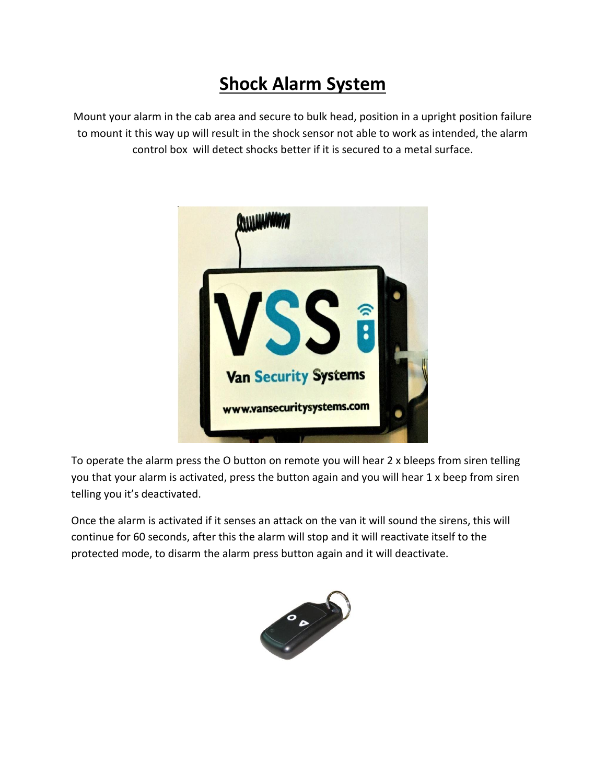## **Shock Alarm System**

Mount your alarm in the cab area and secure to bulk head, position in a upright position failure to mount it this way up will result in the shock sensor not able to work as intended, the alarm control box will detect shocks better if it is secured to a metal surface.



To operate the alarm press the O button on remote you will hear 2 x bleeps from siren telling you that your alarm is activated, press the button again and you will hear 1 x beep from siren telling you it's deactivated.

Once the alarm is activated if it senses an attack on the van it will sound the sirens, this will continue for 60 seconds, after this the alarm will stop and it will reactivate itself to the protected mode, to disarm the alarm press button again and it will deactivate.